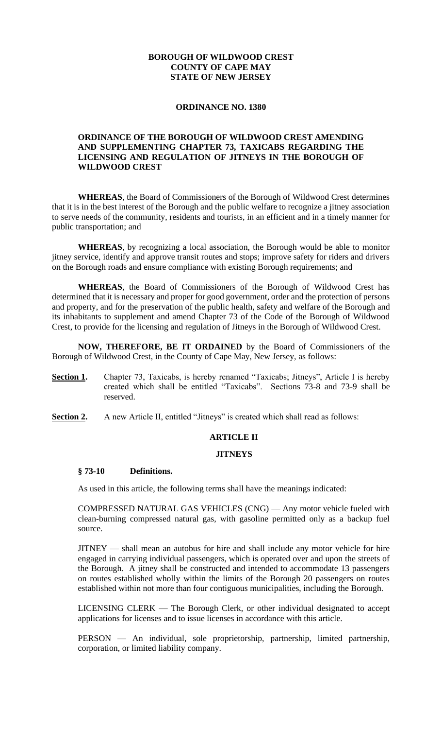### **BOROUGH OF WILDWOOD CREST COUNTY OF CAPE MAY STATE OF NEW JERSEY**

#### **ORDINANCE NO. 1380**

### **ORDINANCE OF THE BOROUGH OF WILDWOOD CREST AMENDING AND SUPPLEMENTING CHAPTER 73, TAXICABS REGARDING THE LICENSING AND REGULATION OF JITNEYS IN THE BOROUGH OF WILDWOOD CREST**

**WHEREAS**, the Board of Commissioners of the Borough of Wildwood Crest determines that it is in the best interest of the Borough and the public welfare to recognize a jitney association to serve needs of the community, residents and tourists, in an efficient and in a timely manner for public transportation; and

**WHEREAS**, by recognizing a local association, the Borough would be able to monitor jitney service, identify and approve transit routes and stops; improve safety for riders and drivers on the Borough roads and ensure compliance with existing Borough requirements; and

**WHEREAS**, the Board of Commissioners of the Borough of Wildwood Crest has determined that it is necessary and proper for good government, order and the protection of persons and property, and for the preservation of the public health, safety and welfare of the Borough and its inhabitants to supplement and amend Chapter 73 of the Code of the Borough of Wildwood Crest, to provide for the licensing and regulation of Jitneys in the Borough of Wildwood Crest.

**NOW, THEREFORE, BE IT ORDAINED** by the Board of Commissioners of the Borough of Wildwood Crest, in the County of Cape May, New Jersey, as follows:

- **Section 1.** Chapter 73, Taxicabs, is hereby renamed "Taxicabs; Jitneys", Article I is hereby created which shall be entitled "Taxicabs". Sections 73-8 and 73-9 shall be reserved.
- **<u>Section 2.</u>** A new Article II, entitled "Jitneys" is created which shall read as follows:

#### **ARTICLE II**

#### **JITNEYS**

#### **§ 73-10 Definitions.**

As used in this article, the following terms shall have the meanings indicated:

COMPRESSED NATURAL GAS VEHICLES (CNG) — Any motor vehicle fueled with clean-burning compressed natural gas, with gasoline permitted only as a backup fuel source.

JITNEY — shall mean an autobus for hire and shall include any motor vehicle for hire engaged in carrying individual passengers, which is operated over and upon the streets of the Borough. A jitney shall be constructed and intended to accommodate 13 passengers on routes established wholly within the limits of the Borough 20 passengers on routes established within not more than four contiguous municipalities, including the Borough.

LICENSING CLERK — The Borough Clerk, or other individual designated to accept applications for licenses and to issue licenses in accordance with this article.

PERSON — An individual, sole proprietorship, partnership, limited partnership, corporation, or limited liability company.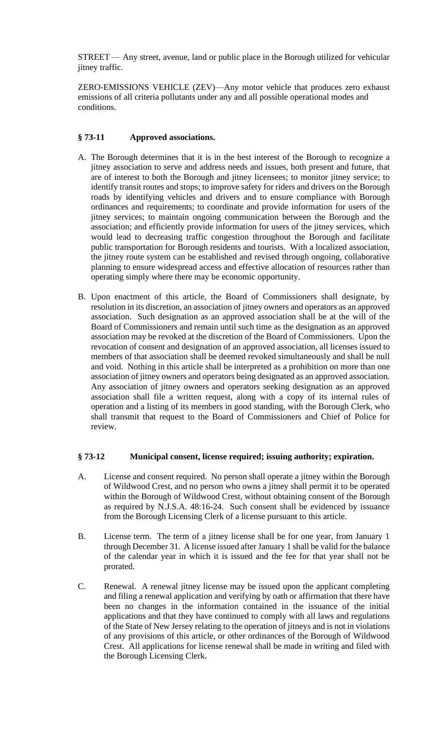STREET — Any street, avenue, land or public place in the Borough utilized for vehicular jitney traffic.

ZERO-EMISSIONS VEHICLE (ZEV)—Any motor vehicle that produces zero exhaust emissions of all criteria pollutants under any and all possible operational modes and conditions.

## **§ 73-11 Approved associations.**

- A. The Borough determines that it is in the best interest of the Borough to recognize a jitney association to serve and address needs and issues, both present and future, that are of interest to both the Borough and jitney licensees; to monitor jitney service; to identify transit routes and stops; to improve safety for riders and drivers on the Borough roads by identifying vehicles and drivers and to ensure compliance with Borough ordinances and requirements; to coordinate and provide information for users of the jitney services; to maintain ongoing communication between the Borough and the association; and efficiently provide information for users of the jitney services, which would lead to decreasing traffic congestion throughout the Borough and facilitate public transportation for Borough residents and tourists. With a localized association, the jitney route system can be established and revised through ongoing, collaborative planning to ensure widespread access and effective allocation of resources rather than operating simply where there may be economic opportunity.
- B. Upon enactment of this article, the Board of Commissioners shall designate, by resolution in its discretion, an association of jitney owners and operators as an approved association. Such designation as an approved association shall be at the will of the Board of Commissioners and remain until such time as the designation as an approved association may be revoked at the discretion of the Board of Commissioners. Upon the revocation of consent and designation of an approved association, all licenses issued to members of that association shall be deemed revoked simultaneously and shall be null and void. Nothing in this article shall be interpreted as a prohibition on more than one association of jitney owners and operators being designated as an approved association. Any association of jitney owners and operators seeking designation as an approved association shall file a written request, along with a copy of its internal rules of operation and a listing of its members in good standing, with the Borough Clerk, who shall transmit that request to the Board of Commissioners and Chief of Police for review.

### **§ 73-12 Municipal consent, license required; issuing authority; expiration.**

- A. License and consent required. No person shall operate a jitney within the Borough of Wildwood Crest, and no person who owns a jitney shall permit it to be operated within the Borough of Wildwood Crest, without obtaining consent of the Borough as required by N.J.S.A. 48:16-24. Such consent shall be evidenced by issuance from the Borough Licensing Clerk of a license pursuant to this article.
- B. License term. The term of a jitney license shall be for one year, from January 1 through December 31. A license issued after January 1 shall be valid for the balance of the calendar year in which it is issued and the fee for that year shall not be prorated.
- C. Renewal. A renewal jitney license may be issued upon the applicant completing and filing a renewal application and verifying by oath or affirmation that there have been no changes in the information contained in the issuance of the initial applications and that they have continued to comply with all laws and regulations of the State of New Jersey relating to the operation of jitneys and is not in violations of any provisions of this article, or other ordinances of the Borough of Wildwood Crest. All applications for license renewal shall be made in writing and filed with the Borough Licensing Clerk.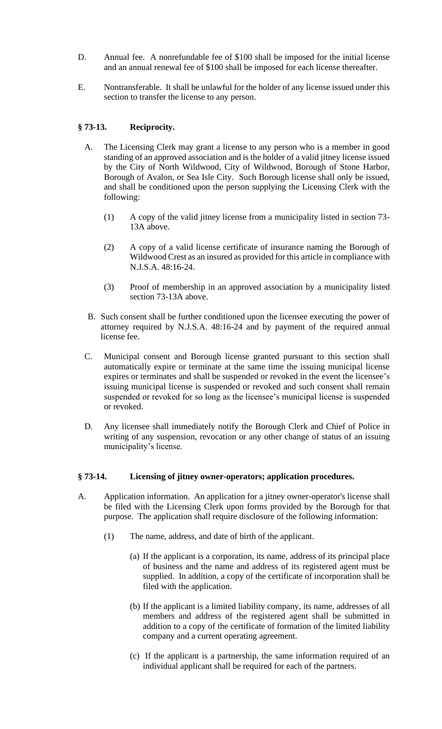- D. Annual fee. A nonrefundable fee of \$100 shall be imposed for the initial license and an annual renewal fee of \$100 shall be imposed for each license thereafter.
- E. Nontransferable. It shall be unlawful for the holder of any license issued under this section to transfer the license to any person.

## **§ 73-13. Reciprocity.**

- A. The Licensing Clerk may grant a license to any person who is a member in good standing of an approved association and is the holder of a valid jitney license issued by the City of North Wildwood, City of Wildwood, Borough of Stone Harbor, Borough of Avalon, or Sea Isle City. Such Borough license shall only be issued, and shall be conditioned upon the person supplying the Licensing Clerk with the following:
	- (1) A copy of the valid jitney license from a municipality listed in section 73- 13A above.
	- (2) A copy of a valid license certificate of insurance naming the Borough of Wildwood Crest as an insured as provided for this article in compliance with N.J.S.A. 48:16-24.
	- (3) Proof of membership in an approved association by a municipality listed section 73-13A above.
- B. Such consent shall be further conditioned upon the licensee executing the power of attorney required by N.J.S.A. 48:16-24 and by payment of the required annual license fee.
- C. Municipal consent and Borough license granted pursuant to this section shall automatically expire or terminate at the same time the issuing municipal license expires or terminates and shall be suspended or revoked in the event the licensee's issuing municipal license is suspended or revoked and such consent shall remain suspended or revoked for so long as the licensee's municipal license is suspended or revoked.
- D. Any licensee shall immediately notify the Borough Clerk and Chief of Police in writing of any suspension, revocation or any other change of status of an issuing municipality's license.

### **§ 73-14. Licensing of jitney owner-operators; application procedures.**

- A. Application information. An application for a jitney owner-operator's license shall be filed with the Licensing Clerk upon forms provided by the Borough for that purpose. The application shall require disclosure of the following information:
	- (1) The name, address, and date of birth of the applicant.
		- (a) If the applicant is a corporation, its name, address of its principal place of business and the name and address of its registered agent must be supplied. In addition, a copy of the certificate of incorporation shall be filed with the application.
		- (b) If the applicant is a limited liability company, its name, addresses of all members and address of the registered agent shall be submitted in addition to a copy of the certificate of formation of the limited liability company and a current operating agreement.
		- (c) If the applicant is a partnership, the same information required of an individual applicant shall be required for each of the partners.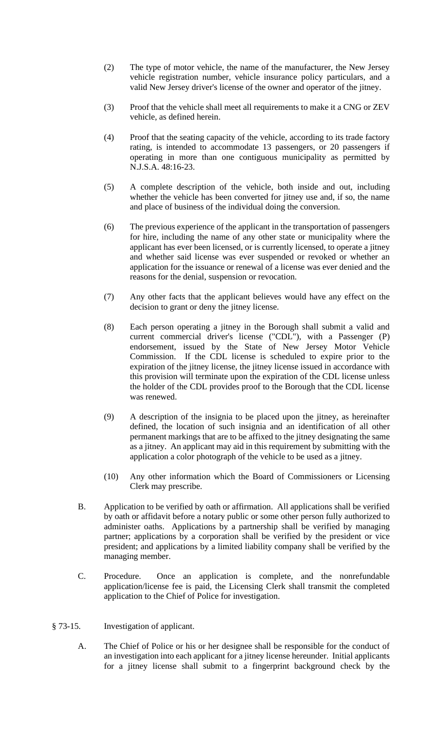- (2) The type of motor vehicle, the name of the manufacturer, the New Jersey vehicle registration number, vehicle insurance policy particulars, and a valid New Jersey driver's license of the owner and operator of the jitney.
- (3) Proof that the vehicle shall meet all requirements to make it a CNG or ZEV vehicle, as defined herein.
- (4) Proof that the seating capacity of the vehicle, according to its trade factory rating, is intended to accommodate 13 passengers, or 20 passengers if operating in more than one contiguous municipality as permitted by N.J.S.A. 48:16-23.
- (5) A complete description of the vehicle, both inside and out, including whether the vehicle has been converted for jitney use and, if so, the name and place of business of the individual doing the conversion.
- (6) The previous experience of the applicant in the transportation of passengers for hire, including the name of any other state or municipality where the applicant has ever been licensed, or is currently licensed, to operate a jitney and whether said license was ever suspended or revoked or whether an application for the issuance or renewal of a license was ever denied and the reasons for the denial, suspension or revocation.
- (7) Any other facts that the applicant believes would have any effect on the decision to grant or deny the jitney license.
- (8) Each person operating a jitney in the Borough shall submit a valid and current commercial driver's license ("CDL"), with a Passenger (P) endorsement, issued by the State of New Jersey Motor Vehicle Commission. If the CDL license is scheduled to expire prior to the expiration of the jitney license, the jitney license issued in accordance with this provision will terminate upon the expiration of the CDL license unless the holder of the CDL provides proof to the Borough that the CDL license was renewed.
- (9) A description of the insignia to be placed upon the jitney, as hereinafter defined, the location of such insignia and an identification of all other permanent markings that are to be affixed to the jitney designating the same as a jitney. An applicant may aid in this requirement by submitting with the application a color photograph of the vehicle to be used as a jitney.
- (10) Any other information which the Board of Commissioners or Licensing Clerk may prescribe.
- B. Application to be verified by oath or affirmation. All applications shall be verified by oath or affidavit before a notary public or some other person fully authorized to administer oaths. Applications by a partnership shall be verified by managing partner; applications by a corporation shall be verified by the president or vice president; and applications by a limited liability company shall be verified by the managing member.
- C. Procedure. Once an application is complete, and the nonrefundable application/license fee is paid, the Licensing Clerk shall transmit the completed application to the Chief of Police for investigation.
- § 73-15. Investigation of applicant.
	- A. The Chief of Police or his or her designee shall be responsible for the conduct of an investigation into each applicant for a jitney license hereunder. Initial applicants for a jitney license shall submit to a fingerprint background check by the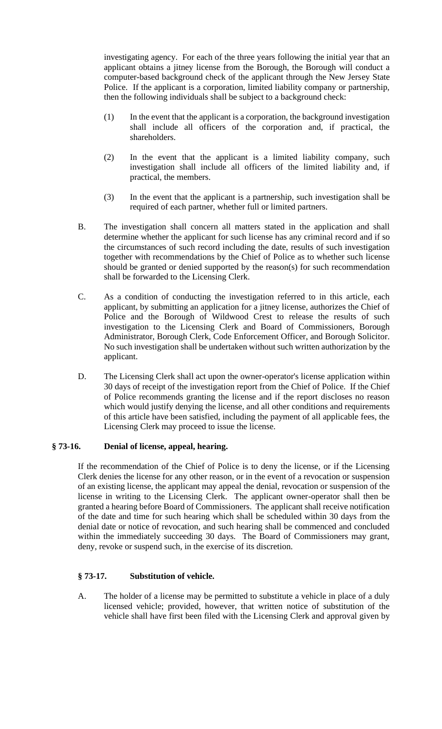investigating agency. For each of the three years following the initial year that an applicant obtains a jitney license from the Borough, the Borough will conduct a computer-based background check of the applicant through the New Jersey State Police. If the applicant is a corporation, limited liability company or partnership, then the following individuals shall be subject to a background check:

- (1) In the event that the applicant is a corporation, the background investigation shall include all officers of the corporation and, if practical, the shareholders.
- (2) In the event that the applicant is a limited liability company, such investigation shall include all officers of the limited liability and, if practical, the members.
- (3) In the event that the applicant is a partnership, such investigation shall be required of each partner, whether full or limited partners.
- B. The investigation shall concern all matters stated in the application and shall determine whether the applicant for such license has any criminal record and if so the circumstances of such record including the date, results of such investigation together with recommendations by the Chief of Police as to whether such license should be granted or denied supported by the reason(s) for such recommendation shall be forwarded to the Licensing Clerk.
- C. As a condition of conducting the investigation referred to in this article, each applicant, by submitting an application for a jitney license, authorizes the Chief of Police and the Borough of Wildwood Crest to release the results of such investigation to the Licensing Clerk and Board of Commissioners, Borough Administrator, Borough Clerk, Code Enforcement Officer, and Borough Solicitor. No such investigation shall be undertaken without such written authorization by the applicant.
- D. The Licensing Clerk shall act upon the owner-operator's license application within 30 days of receipt of the investigation report from the Chief of Police. If the Chief of Police recommends granting the license and if the report discloses no reason which would justify denying the license, and all other conditions and requirements of this article have been satisfied, including the payment of all applicable fees, the Licensing Clerk may proceed to issue the license.

# **§ 73-16. Denial of license, appeal, hearing.**

If the recommendation of the Chief of Police is to deny the license, or if the Licensing Clerk denies the license for any other reason, or in the event of a revocation or suspension of an existing license, the applicant may appeal the denial, revocation or suspension of the license in writing to the Licensing Clerk. The applicant owner-operator shall then be granted a hearing before Board of Commissioners. The applicant shall receive notification of the date and time for such hearing which shall be scheduled within 30 days from the denial date or notice of revocation, and such hearing shall be commenced and concluded within the immediately succeeding 30 days. The Board of Commissioners may grant, deny, revoke or suspend such, in the exercise of its discretion.

### **§ 73-17. Substitution of vehicle.**

A. The holder of a license may be permitted to substitute a vehicle in place of a duly licensed vehicle; provided, however, that written notice of substitution of the vehicle shall have first been filed with the Licensing Clerk and approval given by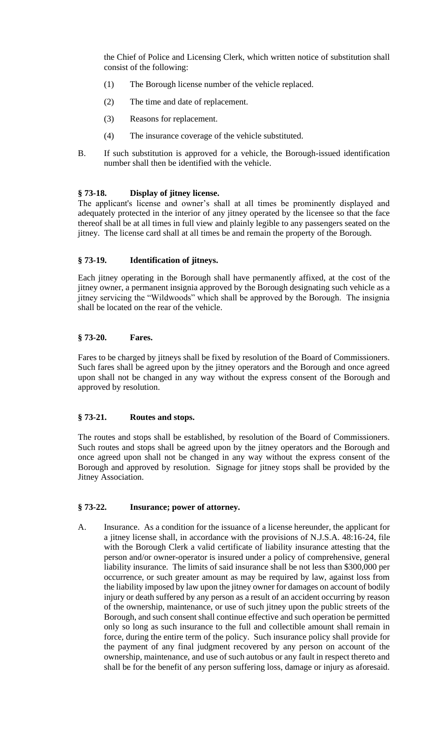the Chief of Police and Licensing Clerk, which written notice of substitution shall consist of the following:

- (1) The Borough license number of the vehicle replaced.
- (2) The time and date of replacement.
- (3) Reasons for replacement.
- (4) The insurance coverage of the vehicle substituted.
- B. If such substitution is approved for a vehicle, the Borough-issued identification number shall then be identified with the vehicle.

## **§ 73-18. Display of jitney license.**

The applicant's license and owner's shall at all times be prominently displayed and adequately protected in the interior of any jitney operated by the licensee so that the face thereof shall be at all times in full view and plainly legible to any passengers seated on the jitney. The license card shall at all times be and remain the property of the Borough.

## **§ 73-19. Identification of jitneys.**

Each jitney operating in the Borough shall have permanently affixed, at the cost of the jitney owner, a permanent insignia approved by the Borough designating such vehicle as a jitney servicing the "Wildwoods" which shall be approved by the Borough. The insignia shall be located on the rear of the vehicle.

### **§ 73-20. Fares.**

Fares to be charged by jitneys shall be fixed by resolution of the Board of Commissioners. Such fares shall be agreed upon by the jitney operators and the Borough and once agreed upon shall not be changed in any way without the express consent of the Borough and approved by resolution.

# **§ 73-21. Routes and stops.**

The routes and stops shall be established, by resolution of the Board of Commissioners. Such routes and stops shall be agreed upon by the jitney operators and the Borough and once agreed upon shall not be changed in any way without the express consent of the Borough and approved by resolution. Signage for jitney stops shall be provided by the Jitney Association.

### **§ 73-22. Insurance; power of attorney.**

A. Insurance. As a condition for the issuance of a license hereunder, the applicant for a jitney license shall, in accordance with the provisions of N.J.S.A. 48:16-24, file with the Borough Clerk a valid certificate of liability insurance attesting that the person and/or owner-operator is insured under a policy of comprehensive, general liability insurance. The limits of said insurance shall be not less than \$300,000 per occurrence, or such greater amount as may be required by law, against loss from the liability imposed by law upon the jitney owner for damages on account of bodily injury or death suffered by any person as a result of an accident occurring by reason of the ownership, maintenance, or use of such jitney upon the public streets of the Borough, and such consent shall continue effective and such operation be permitted only so long as such insurance to the full and collectible amount shall remain in force, during the entire term of the policy. Such insurance policy shall provide for the payment of any final judgment recovered by any person on account of the ownership, maintenance, and use of such autobus or any fault in respect thereto and shall be for the benefit of any person suffering loss, damage or injury as aforesaid.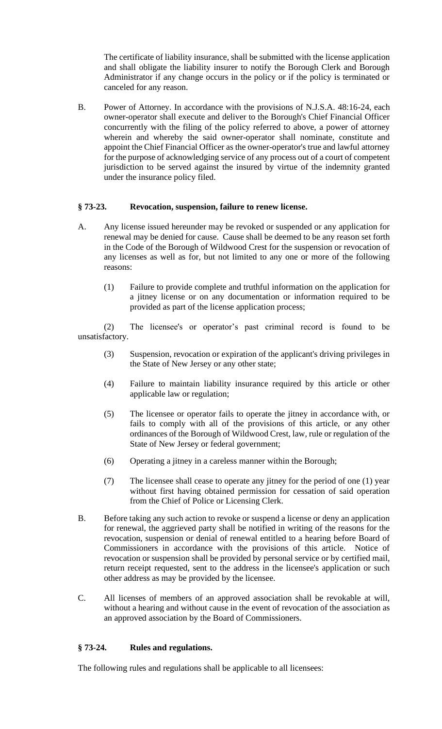The certificate of liability insurance, shall be submitted with the license application and shall obligate the liability insurer to notify the Borough Clerk and Borough Administrator if any change occurs in the policy or if the policy is terminated or canceled for any reason.

B. Power of Attorney. In accordance with the provisions of N.J.S.A. 48:16-24, each owner-operator shall execute and deliver to the Borough's Chief Financial Officer concurrently with the filing of the policy referred to above, a power of attorney wherein and whereby the said owner-operator shall nominate, constitute and appoint the Chief Financial Officer as the owner-operator's true and lawful attorney for the purpose of acknowledging service of any process out of a court of competent jurisdiction to be served against the insured by virtue of the indemnity granted under the insurance policy filed.

### **§ 73-23. Revocation, suspension, failure to renew license.**

- A. Any license issued hereunder may be revoked or suspended or any application for renewal may be denied for cause. Cause shall be deemed to be any reason set forth in the Code of the Borough of Wildwood Crest for the suspension or revocation of any licenses as well as for, but not limited to any one or more of the following reasons:
	- (1) Failure to provide complete and truthful information on the application for a jitney license or on any documentation or information required to be provided as part of the license application process;

(2) The licensee's or operator's past criminal record is found to be unsatisfactory.

- (3) Suspension, revocation or expiration of the applicant's driving privileges in the State of New Jersey or any other state;
- (4) Failure to maintain liability insurance required by this article or other applicable law or regulation;
- (5) The licensee or operator fails to operate the jitney in accordance with, or fails to comply with all of the provisions of this article, or any other ordinances of the Borough of Wildwood Crest, law, rule or regulation of the State of New Jersey or federal government;
- (6) Operating a jitney in a careless manner within the Borough;
- (7) The licensee shall cease to operate any jitney for the period of one (1) year without first having obtained permission for cessation of said operation from the Chief of Police or Licensing Clerk.
- B. Before taking any such action to revoke or suspend a license or deny an application for renewal, the aggrieved party shall be notified in writing of the reasons for the revocation, suspension or denial of renewal entitled to a hearing before Board of Commissioners in accordance with the provisions of this article. Notice of revocation or suspension shall be provided by personal service or by certified mail, return receipt requested, sent to the address in the licensee's application or such other address as may be provided by the licensee.
- C. All licenses of members of an approved association shall be revokable at will, without a hearing and without cause in the event of revocation of the association as an approved association by the Board of Commissioners.

### **§ 73-24. Rules and regulations.**

The following rules and regulations shall be applicable to all licensees: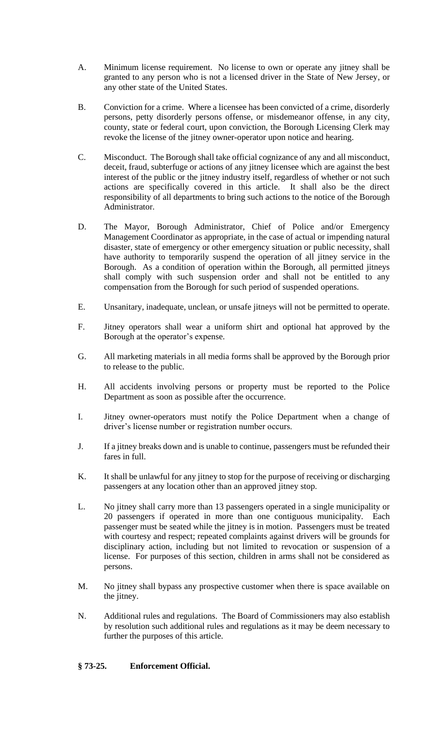- A. Minimum license requirement. No license to own or operate any jitney shall be granted to any person who is not a licensed driver in the State of New Jersey, or any other state of the United States.
- B. Conviction for a crime. Where a licensee has been convicted of a crime, disorderly persons, petty disorderly persons offense, or misdemeanor offense, in any city, county, state or federal court, upon conviction, the Borough Licensing Clerk may revoke the license of the jitney owner-operator upon notice and hearing.
- C. Misconduct. The Borough shall take official cognizance of any and all misconduct, deceit, fraud, subterfuge or actions of any jitney licensee which are against the best interest of the public or the jitney industry itself, regardless of whether or not such actions are specifically covered in this article. It shall also be the direct responsibility of all departments to bring such actions to the notice of the Borough Administrator.
- D. The Mayor, Borough Administrator, Chief of Police and/or Emergency Management Coordinator as appropriate, in the case of actual or impending natural disaster, state of emergency or other emergency situation or public necessity, shall have authority to temporarily suspend the operation of all jitney service in the Borough. As a condition of operation within the Borough, all permitted jitneys shall comply with such suspension order and shall not be entitled to any compensation from the Borough for such period of suspended operations.
- E. Unsanitary, inadequate, unclean, or unsafe jitneys will not be permitted to operate.
- F. Jitney operators shall wear a uniform shirt and optional hat approved by the Borough at the operator's expense.
- G. All marketing materials in all media forms shall be approved by the Borough prior to release to the public.
- H. All accidents involving persons or property must be reported to the Police Department as soon as possible after the occurrence.
- I. Jitney owner-operators must notify the Police Department when a change of driver's license number or registration number occurs.
- J. If a jitney breaks down and is unable to continue, passengers must be refunded their fares in full.
- K. It shall be unlawful for any jitney to stop for the purpose of receiving or discharging passengers at any location other than an approved jitney stop.
- L. No jitney shall carry more than 13 passengers operated in a single municipality or 20 passengers if operated in more than one contiguous municipality. Each passenger must be seated while the jitney is in motion. Passengers must be treated with courtesy and respect; repeated complaints against drivers will be grounds for disciplinary action, including but not limited to revocation or suspension of a license. For purposes of this section, children in arms shall not be considered as persons.
- M. No jitney shall bypass any prospective customer when there is space available on the jitney.
- N. Additional rules and regulations. The Board of Commissioners may also establish by resolution such additional rules and regulations as it may be deem necessary to further the purposes of this article.

# **§ 73-25. Enforcement Official.**